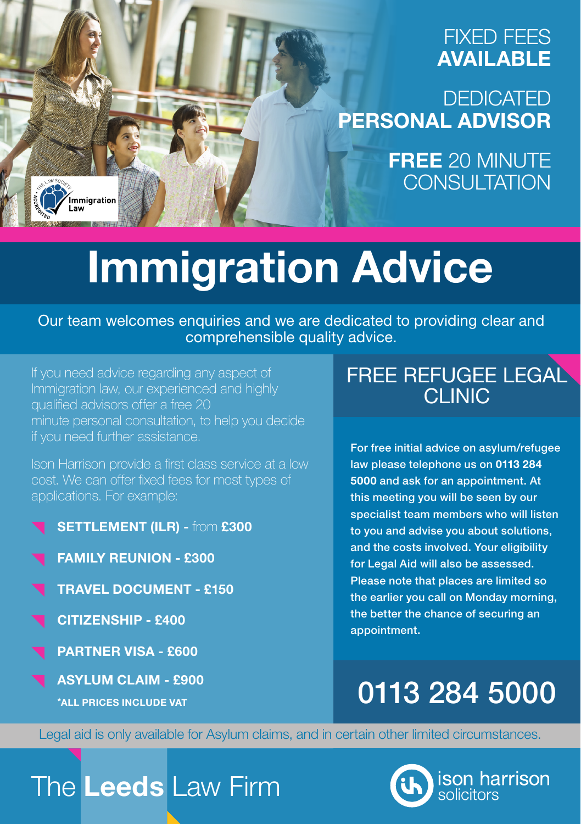### FIXED FEES AVAILABLE

**DEDICATED** PERSONAL ADVISOR

> FREE 20 MINUTE CONSULTATION

# Immigration Advice

Our team welcomes enquiries and we are dedicated to providing clear and comprehensible quality advice.

If you need advice regarding any aspect of Immigration law, our experienced and highly qualified advisors offer a free 20 minute personal consultation, to help you decide if you need further assistance.

Ison Harrison provide a first class service at a low cost. We can offer fixed fees for most types of applications. For example:

- SETTLEMENT (ILR) from £300
- FAMILY REUNION £300
- TRAVEL DOCUMENT £150
- CITIZENSHIP £400

.<br>Immigration

- PARTNER VISA £600
- ASYLUM CLAIM £900

\*ALL PRICES INCLUDE VAT

## FREE REFUGEE LEGAL CLINIC

For free initial advice on asylum/refugee law please telephone us on 0113 284 5000 and ask for an appointment. At this meeting you will be seen by our specialist team members who will listen to you and advise you about solutions, and the costs involved. Your eligibility for Legal Aid will also be assessed. Please note that places are limited so the earlier you call on Monday morning, the better the chance of securing an appointment.

## 0113 284 5000

Legal aid is only available for Asylum claims, and in certain other limited circumstances.

## The Leeds Law Firm